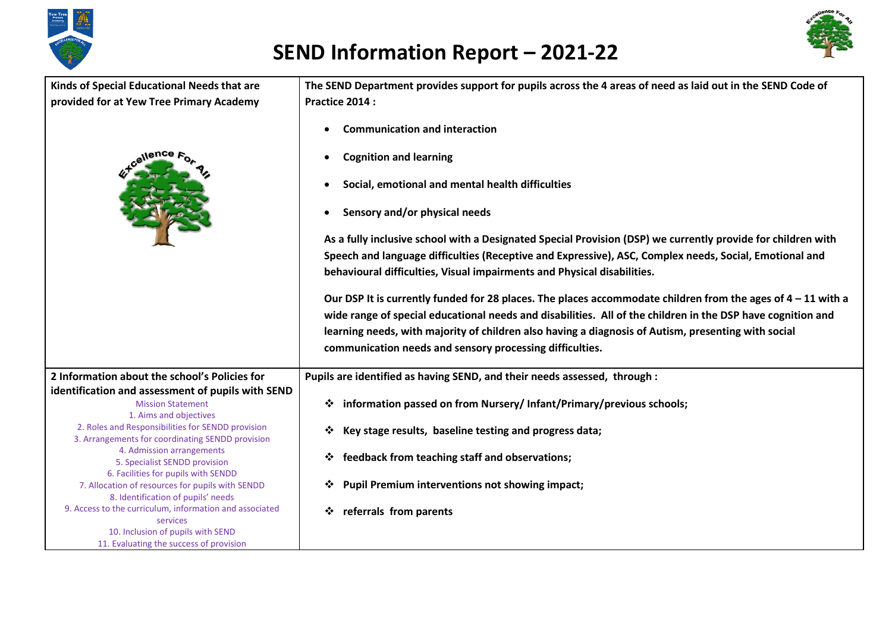



| Kinds of Special Educational Needs that are                                   | The SEND Department provides support for pupils across the 4 areas of need as laid out in the SEND Code of     |
|-------------------------------------------------------------------------------|----------------------------------------------------------------------------------------------------------------|
| provided for at Yew Tree Primary Academy                                      | Practice 2014 :                                                                                                |
|                                                                               |                                                                                                                |
|                                                                               | <b>Communication and interaction</b>                                                                           |
| cellence                                                                      | <b>Cognition and learning</b><br>Social, emotional and mental health difficulties                              |
|                                                                               | Sensory and/or physical needs                                                                                  |
|                                                                               | As a fully inclusive school with a Designated Special Provision (DSP) we currently provide for children with   |
|                                                                               | Speech and language difficulties (Receptive and Expressive), ASC, Complex needs, Social, Emotional and         |
|                                                                               |                                                                                                                |
|                                                                               | behavioural difficulties, Visual impairments and Physical disabilities.                                        |
|                                                                               | Our DSP It is currently funded for 28 places. The places accommodate children from the ages of $4 - 11$ with a |
|                                                                               |                                                                                                                |
|                                                                               | wide range of special educational needs and disabilities. All of the children in the DSP have cognition and    |
|                                                                               | learning needs, with majority of children also having a diagnosis of Autism, presenting with social            |
|                                                                               | communication needs and sensory processing difficulties.                                                       |
|                                                                               |                                                                                                                |
| 2 Information about the school's Policies for                                 | Pupils are identified as having SEND, and their needs assessed, through :                                      |
| identification and assessment of pupils with SEND                             |                                                                                                                |
| <b>Mission Statement</b>                                                      | information passed on from Nursery/ Infant/Primary/previous schools;<br>❖                                      |
| 1. Aims and objectives                                                        |                                                                                                                |
| 2. Roles and Responsibilities for SENDD provision                             | Key stage results, baseline testing and progress data;                                                         |
| 3. Arrangements for coordinating SENDD provision<br>4. Admission arrangements |                                                                                                                |
| 5. Specialist SENDD provision                                                 | feedback from teaching staff and observations;<br>❖                                                            |
| 6. Facilities for pupils with SENDD                                           |                                                                                                                |
| 7. Allocation of resources for pupils with SENDD                              | <b>Pupil Premium interventions not showing impact;</b>                                                         |
| 8. Identification of pupils' needs                                            |                                                                                                                |
| 9. Access to the curriculum, information and associated                       | referrals from parents                                                                                         |
| services<br>10. Inclusion of pupils with SEND                                 |                                                                                                                |
| 11. Evaluating the success of provision                                       |                                                                                                                |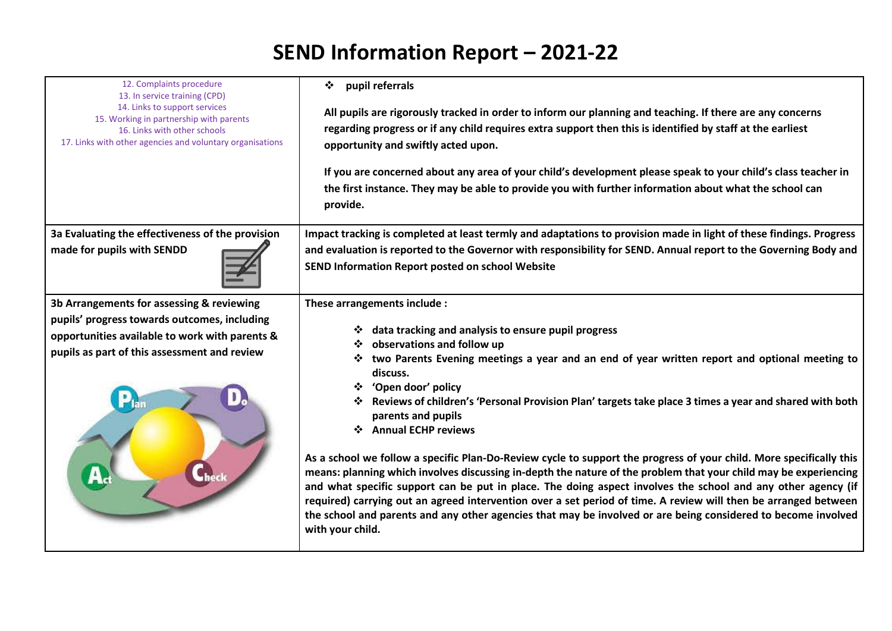| 12. Complaints procedure<br>13. In service training (CPD)<br>14. Links to support services<br>15. Working in partnership with parents<br>16. Links with other schools<br>17. Links with other agencies and voluntary organisations | pupil referrals<br>❖<br>All pupils are rigorously tracked in order to inform our planning and teaching. If there are any concerns<br>regarding progress or if any child requires extra support then this is identified by staff at the earliest<br>opportunity and swiftly acted upon.<br>If you are concerned about any area of your child's development please speak to your child's class teacher in<br>the first instance. They may be able to provide you with further information about what the school can<br>provide.                                                                                                                                                                                                                                                                                                                                                                                                                                                                                                      |
|------------------------------------------------------------------------------------------------------------------------------------------------------------------------------------------------------------------------------------|------------------------------------------------------------------------------------------------------------------------------------------------------------------------------------------------------------------------------------------------------------------------------------------------------------------------------------------------------------------------------------------------------------------------------------------------------------------------------------------------------------------------------------------------------------------------------------------------------------------------------------------------------------------------------------------------------------------------------------------------------------------------------------------------------------------------------------------------------------------------------------------------------------------------------------------------------------------------------------------------------------------------------------|
| 3a Evaluating the effectiveness of the provision<br>made for pupils with SENDD                                                                                                                                                     | Impact tracking is completed at least termly and adaptations to provision made in light of these findings. Progress<br>and evaluation is reported to the Governor with responsibility for SEND. Annual report to the Governing Body and<br>SEND Information Report posted on school Website                                                                                                                                                                                                                                                                                                                                                                                                                                                                                                                                                                                                                                                                                                                                        |
| 3b Arrangements for assessing & reviewing<br>pupils' progress towards outcomes, including<br>opportunities available to work with parents &<br>pupils as part of this assessment and review                                        | These arrangements include :<br>data tracking and analysis to ensure pupil progress<br>observations and follow up<br>two Parents Evening meetings a year and an end of year written report and optional meeting to<br>discuss.<br>❖ 'Open door' policy<br>Reviews of children's 'Personal Provision Plan' targets take place 3 times a year and shared with both<br>parents and pupils<br>❖ Annual ECHP reviews<br>As a school we follow a specific Plan-Do-Review cycle to support the progress of your child. More specifically this<br>means: planning which involves discussing in-depth the nature of the problem that your child may be experiencing<br>and what specific support can be put in place. The doing aspect involves the school and any other agency (if<br>required) carrying out an agreed intervention over a set period of time. A review will then be arranged between<br>the school and parents and any other agencies that may be involved or are being considered to become involved<br>with your child. |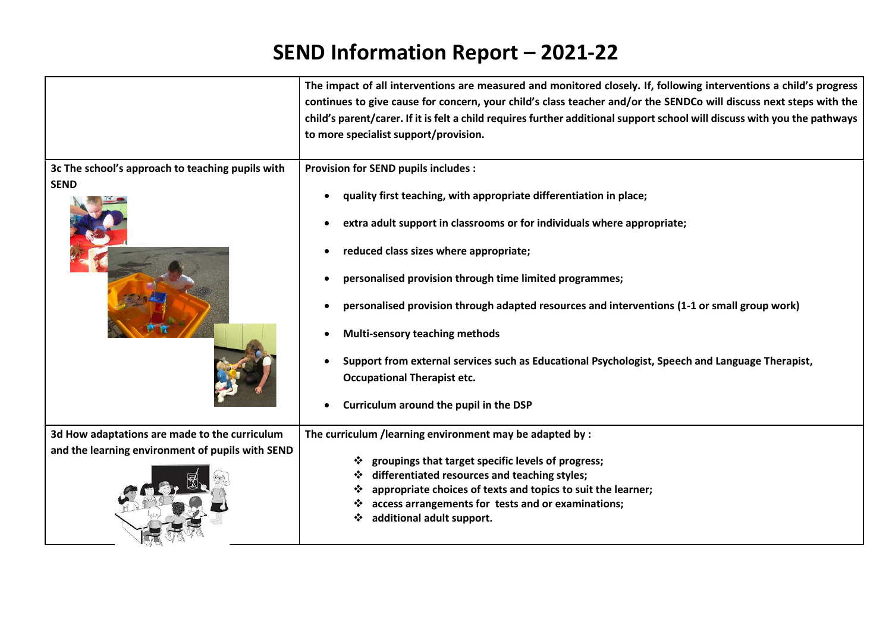|                                                                                                   | The impact of all interventions are measured and monitored closely. If, following interventions a child's progress<br>continues to give cause for concern, your child's class teacher and/or the SENDCo will discuss next steps with the<br>child's parent/carer. If it is felt a child requires further additional support school will discuss with you the pathways<br>to more specialist support/provision.                                                                                                                                                                                                               |
|---------------------------------------------------------------------------------------------------|------------------------------------------------------------------------------------------------------------------------------------------------------------------------------------------------------------------------------------------------------------------------------------------------------------------------------------------------------------------------------------------------------------------------------------------------------------------------------------------------------------------------------------------------------------------------------------------------------------------------------|
| 3c The school's approach to teaching pupils with<br><b>SEND</b>                                   | <b>Provision for SEND pupils includes:</b><br>quality first teaching, with appropriate differentiation in place;<br>extra adult support in classrooms or for individuals where appropriate;<br>reduced class sizes where appropriate;<br>personalised provision through time limited programmes;<br>personalised provision through adapted resources and interventions (1-1 or small group work)<br><b>Multi-sensory teaching methods</b><br>Support from external services such as Educational Psychologist, Speech and Language Therapist,<br><b>Occupational Therapist etc.</b><br>Curriculum around the pupil in the DSP |
| 3d How adaptations are made to the curriculum<br>and the learning environment of pupils with SEND | The curriculum /learning environment may be adapted by :<br>groupings that target specific levels of progress;<br>differentiated resources and teaching styles;<br>appropriate choices of texts and topics to suit the learner;<br>❖<br>access arrangements for tests and or examinations;<br>additional adult support.                                                                                                                                                                                                                                                                                                      |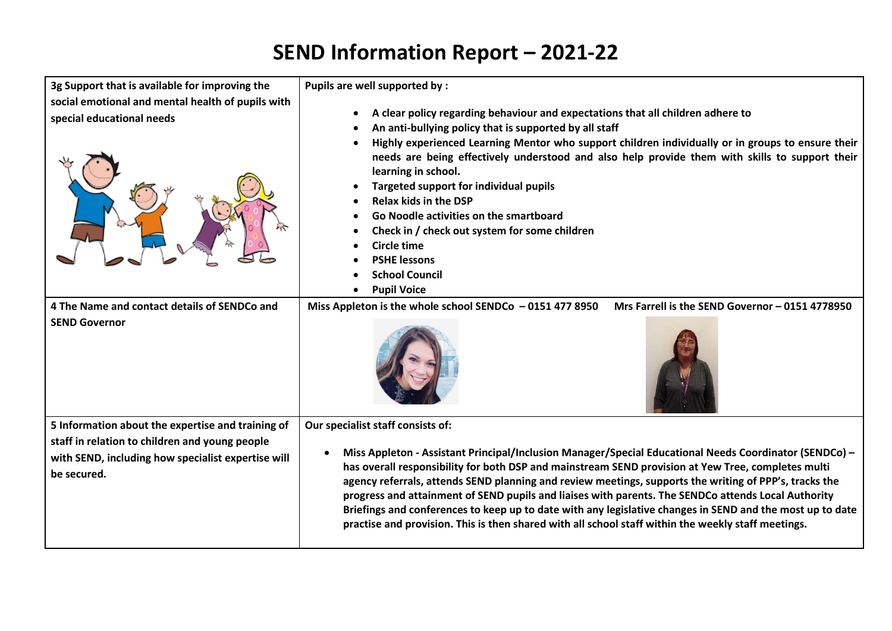| 3g Support that is available for improving the                                                                                                                           | Pupils are well supported by :                                                                                                                                                                                                                                                                                                                                                                                                                                                                                                                                                                                                                                                                      |
|--------------------------------------------------------------------------------------------------------------------------------------------------------------------------|-----------------------------------------------------------------------------------------------------------------------------------------------------------------------------------------------------------------------------------------------------------------------------------------------------------------------------------------------------------------------------------------------------------------------------------------------------------------------------------------------------------------------------------------------------------------------------------------------------------------------------------------------------------------------------------------------------|
| social emotional and mental health of pupils with<br>special educational needs                                                                                           | A clear policy regarding behaviour and expectations that all children adhere to<br>An anti-bullying policy that is supported by all staff<br>Highly experienced Learning Mentor who support children individually or in groups to ensure their<br>needs are being effectively understood and also help provide them with skills to support their<br>learning in school.<br><b>Targeted support for individual pupils</b><br><b>Relax kids in the DSP</b><br>Go Noodle activities on the smartboard<br>Check in / check out system for some children<br>Circle time<br><b>PSHE lessons</b><br><b>School Council</b><br><b>Pupil Voice</b>                                                            |
| 4 The Name and contact details of SENDCo and<br><b>SEND Governor</b>                                                                                                     | Mrs Farrell is the SEND Governor - 0151 4778950<br>Miss Appleton is the whole school SENDCo $-01514778950$                                                                                                                                                                                                                                                                                                                                                                                                                                                                                                                                                                                          |
| 5 Information about the expertise and training of<br>staff in relation to children and young people<br>with SEND, including how specialist expertise will<br>be secured. | Our specialist staff consists of:<br>Miss Appleton - Assistant Principal/Inclusion Manager/Special Educational Needs Coordinator (SENDCo) -<br>$\bullet$<br>has overall responsibility for both DSP and mainstream SEND provision at Yew Tree, completes multi<br>agency referrals, attends SEND planning and review meetings, supports the writing of PPP's, tracks the<br>progress and attainment of SEND pupils and liaises with parents. The SENDCo attends Local Authority<br>Briefings and conferences to keep up to date with any legislative changes in SEND and the most up to date<br>practise and provision. This is then shared with all school staff within the weekly staff meetings. |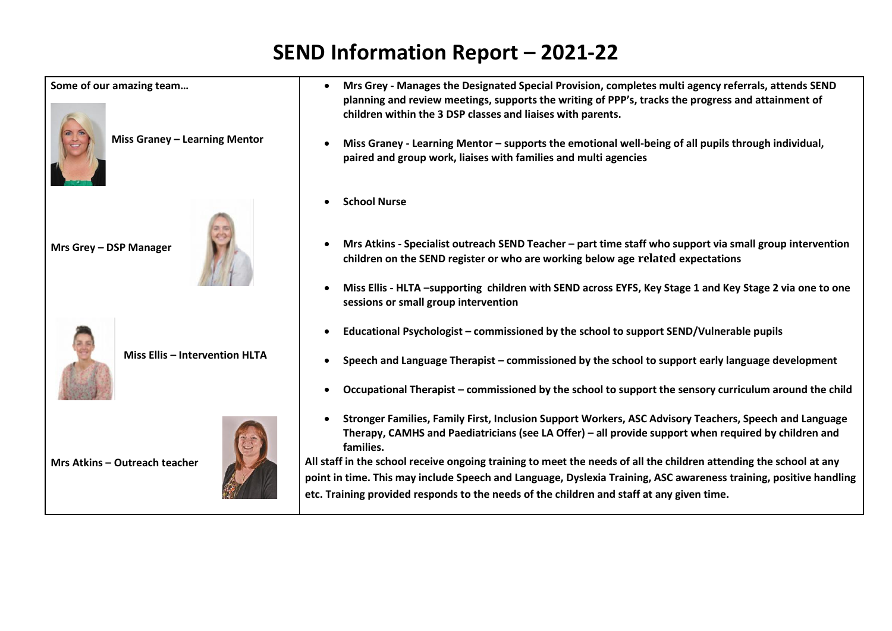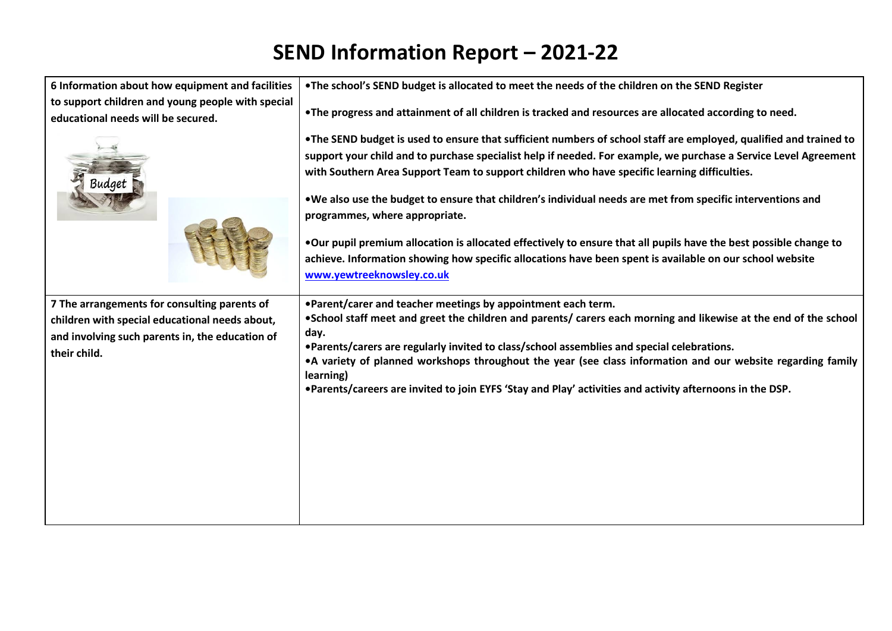| 6 Information about how equipment and facilities                                                                                                                  | . The school's SEND budget is allocated to meet the needs of the children on the SEND Register                                                                                                                                                                                                                                                                                                                                                                                                                                                                                                                                                                                                                                                         |
|-------------------------------------------------------------------------------------------------------------------------------------------------------------------|--------------------------------------------------------------------------------------------------------------------------------------------------------------------------------------------------------------------------------------------------------------------------------------------------------------------------------------------------------------------------------------------------------------------------------------------------------------------------------------------------------------------------------------------------------------------------------------------------------------------------------------------------------------------------------------------------------------------------------------------------------|
| to support children and young people with special<br>educational needs will be secured.                                                                           | . The progress and attainment of all children is tracked and resources are allocated according to need.                                                                                                                                                                                                                                                                                                                                                                                                                                                                                                                                                                                                                                                |
|                                                                                                                                                                   | . The SEND budget is used to ensure that sufficient numbers of school staff are employed, qualified and trained to<br>support your child and to purchase specialist help if needed. For example, we purchase a Service Level Agreement<br>with Southern Area Support Team to support children who have specific learning difficulties.<br>. We also use the budget to ensure that children's individual needs are met from specific interventions and<br>programmes, where appropriate.<br>. Our pupil premium allocation is allocated effectively to ensure that all pupils have the best possible change to<br>achieve. Information showing how specific allocations have been spent is available on our school website<br>www.yewtreeknowsley.co.uk |
| 7 The arrangements for consulting parents of<br>children with special educational needs about,<br>and involving such parents in, the education of<br>their child. | .Parent/carer and teacher meetings by appointment each term.<br>.School staff meet and greet the children and parents/ carers each morning and likewise at the end of the school<br>day.<br>. Parents/carers are regularly invited to class/school assemblies and special celebrations.<br>•A variety of planned workshops throughout the year (see class information and our website regarding family<br>learning)<br>•Parents/careers are invited to join EYFS 'Stay and Play' activities and activity afternoons in the DSP.                                                                                                                                                                                                                        |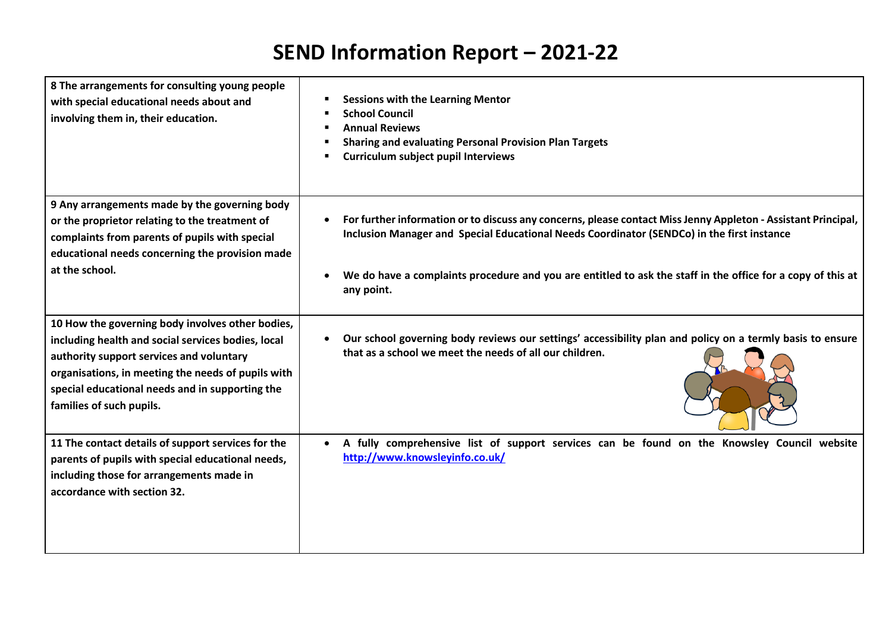| 8 The arrangements for consulting young people<br>with special educational needs about and<br>involving them in, their education.                                                                                                                                                       | <b>Sessions with the Learning Mentor</b><br><b>School Council</b><br><b>Annual Reviews</b><br><b>Sharing and evaluating Personal Provision Plan Targets</b><br><b>Curriculum subject pupil Interviews</b>                |
|-----------------------------------------------------------------------------------------------------------------------------------------------------------------------------------------------------------------------------------------------------------------------------------------|--------------------------------------------------------------------------------------------------------------------------------------------------------------------------------------------------------------------------|
| 9 Any arrangements made by the governing body<br>or the proprietor relating to the treatment of<br>complaints from parents of pupils with special<br>educational needs concerning the provision made                                                                                    | For further information or to discuss any concerns, please contact Miss Jenny Appleton - Assistant Principal,<br>$\bullet$<br>Inclusion Manager and Special Educational Needs Coordinator (SENDCo) in the first instance |
| at the school.                                                                                                                                                                                                                                                                          | We do have a complaints procedure and you are entitled to ask the staff in the office for a copy of this at<br>any point.                                                                                                |
| 10 How the governing body involves other bodies,<br>including health and social services bodies, local<br>authority support services and voluntary<br>organisations, in meeting the needs of pupils with<br>special educational needs and in supporting the<br>families of such pupils. | Our school governing body reviews our settings' accessibility plan and policy on a termly basis to ensure<br>that as a school we meet the needs of all our children.                                                     |
| 11 The contact details of support services for the<br>parents of pupils with special educational needs,<br>including those for arrangements made in<br>accordance with section 32.                                                                                                      | A fully comprehensive list of support services can be found on the Knowsley Council website<br>http://www.knowsleyinfo.co.uk/                                                                                            |